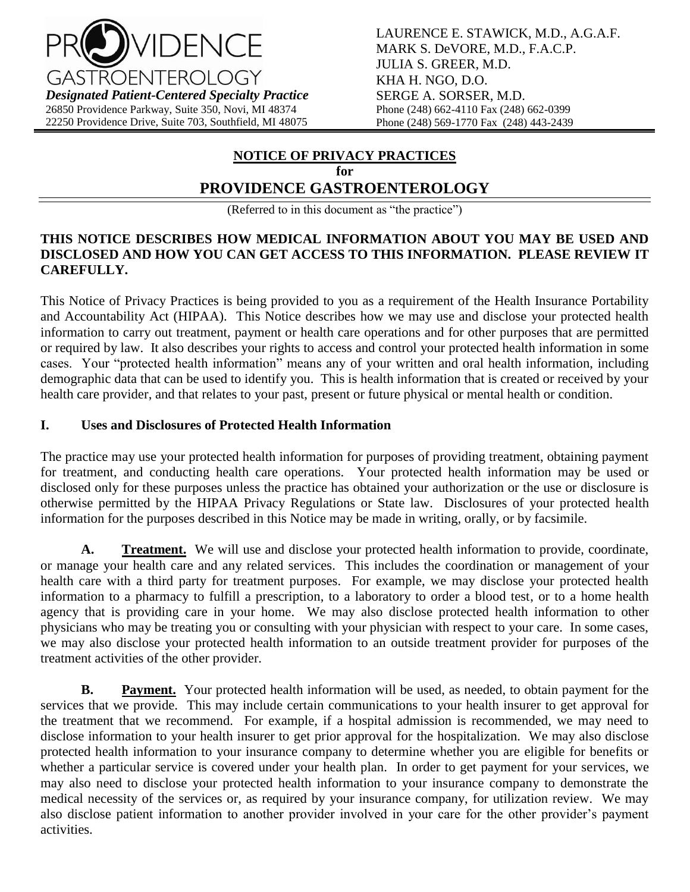

LAURENCE E. STAWICK, M.D., A.G.A.F. MARK S. DeVORE, M.D., F.A.C.P. JULIA S. GREER, M.D. KHA H. NGO, D.O. SERGE A. SORSER, M.D. Phone (248) 662-4110 Fax (248) 662-0399 Phone (248) 569-1770 Fax (248) 443-2439

#### **NOTICE OF PRIVACY PRACTICES for PROVIDENCE GASTROENTEROLOGY**

(Referred to in this document as "the practice")

## **THIS NOTICE DESCRIBES HOW MEDICAL INFORMATION ABOUT YOU MAY BE USED AND DISCLOSED AND HOW YOU CAN GET ACCESS TO THIS INFORMATION. PLEASE REVIEW IT CAREFULLY.**

This Notice of Privacy Practices is being provided to you as a requirement of the Health Insurance Portability and Accountability Act (HIPAA). This Notice describes how we may use and disclose your protected health information to carry out treatment, payment or health care operations and for other purposes that are permitted or required by law. It also describes your rights to access and control your protected health information in some cases. Your "protected health information" means any of your written and oral health information, including demographic data that can be used to identify you. This is health information that is created or received by your health care provider, and that relates to your past, present or future physical or mental health or condition.

#### **I. Uses and Disclosures of Protected Health Information**

The practice may use your protected health information for purposes of providing treatment, obtaining payment for treatment, and conducting health care operations. Your protected health information may be used or disclosed only for these purposes unless the practice has obtained your authorization or the use or disclosure is otherwise permitted by the HIPAA Privacy Regulations or State law. Disclosures of your protected health information for the purposes described in this Notice may be made in writing, orally, or by facsimile.

A. Treatment. We will use and disclose your protected health information to provide, coordinate, or manage your health care and any related services. This includes the coordination or management of your health care with a third party for treatment purposes. For example, we may disclose your protected health information to a pharmacy to fulfill a prescription, to a laboratory to order a blood test, or to a home health agency that is providing care in your home. We may also disclose protected health information to other physicians who may be treating you or consulting with your physician with respect to your care. In some cases, we may also disclose your protected health information to an outside treatment provider for purposes of the treatment activities of the other provider.

**B. Payment.** Your protected health information will be used, as needed, to obtain payment for the services that we provide. This may include certain communications to your health insurer to get approval for the treatment that we recommend. For example, if a hospital admission is recommended, we may need to disclose information to your health insurer to get prior approval for the hospitalization. We may also disclose protected health information to your insurance company to determine whether you are eligible for benefits or whether a particular service is covered under your health plan. In order to get payment for your services, we may also need to disclose your protected health information to your insurance company to demonstrate the medical necessity of the services or, as required by your insurance company, for utilization review. We may also disclose patient information to another provider involved in your care for the other provider's payment activities.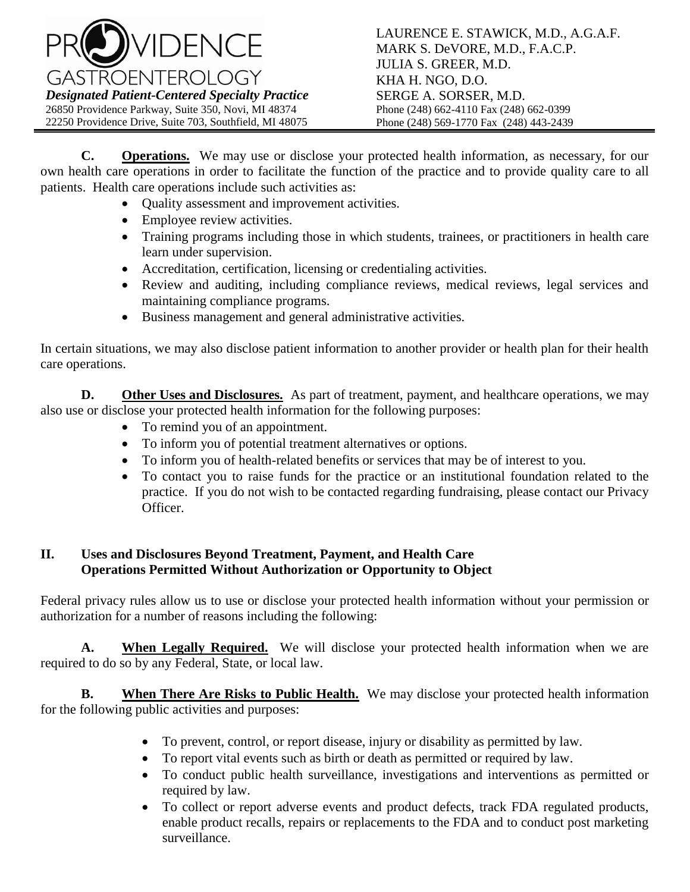

**C. Operations.** We may use or disclose your protected health information, as necessary, for our own health care operations in order to facilitate the function of the practice and to provide quality care to all patients. Health care operations include such activities as:

- Quality assessment and improvement activities.
- Employee review activities.
- Training programs including those in which students, trainees, or practitioners in health care learn under supervision.
- Accreditation, certification, licensing or credentialing activities.
- Review and auditing, including compliance reviews, medical reviews, legal services and maintaining compliance programs.
- Business management and general administrative activities.

In certain situations, we may also disclose patient information to another provider or health plan for their health care operations.

**D.** Other Uses and Disclosures. As part of treatment, payment, and healthcare operations, we may also use or disclose your protected health information for the following purposes:

- To remind you of an appointment.
- To inform you of potential treatment alternatives or options.
- To inform you of health-related benefits or services that may be of interest to you.
- To contact you to raise funds for the practice or an institutional foundation related to the practice. If you do not wish to be contacted regarding fundraising, please contact our Privacy Officer.

# **II. Uses and Disclosures Beyond Treatment, Payment, and Health Care Operations Permitted Without Authorization or Opportunity to Object**

Federal privacy rules allow us to use or disclose your protected health information without your permission or authorization for a number of reasons including the following:

A. When Legally Required. We will disclose your protected health information when we are required to do so by any Federal, State, or local law.

**B. When There Are Risks to Public Health.** We may disclose your protected health information for the following public activities and purposes:

- To prevent, control, or report disease, injury or disability as permitted by law.
- To report vital events such as birth or death as permitted or required by law.
- To conduct public health surveillance, investigations and interventions as permitted or required by law.
- To collect or report adverse events and product defects, track FDA regulated products, enable product recalls, repairs or replacements to the FDA and to conduct post marketing surveillance.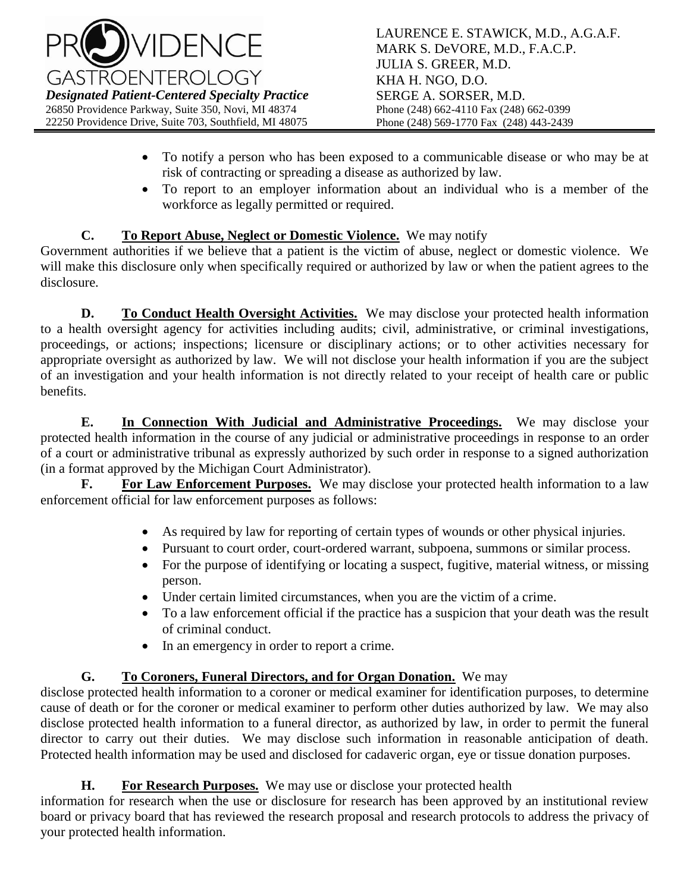

- To notify a person who has been exposed to a communicable disease or who may be at risk of contracting or spreading a disease as authorized by law.
- To report to an employer information about an individual who is a member of the workforce as legally permitted or required.

# **C. To Report Abuse, Neglect or Domestic Violence.** We may notify

Government authorities if we believe that a patient is the victim of abuse, neglect or domestic violence. We will make this disclosure only when specifically required or authorized by law or when the patient agrees to the disclosure.

**D.** To Conduct Health Oversight Activities. We may disclose your protected health information to a health oversight agency for activities including audits; civil, administrative, or criminal investigations, proceedings, or actions; inspections; licensure or disciplinary actions; or to other activities necessary for appropriate oversight as authorized by law. We will not disclose your health information if you are the subject of an investigation and your health information is not directly related to your receipt of health care or public benefits.

**E. In Connection With Judicial and Administrative Proceedings.** We may disclose your protected health information in the course of any judicial or administrative proceedings in response to an order of a court or administrative tribunal as expressly authorized by such order in response to a signed authorization (in a format approved by the Michigan Court Administrator).

**F. For Law Enforcement Purposes.** We may disclose your protected health information to a law enforcement official for law enforcement purposes as follows:

- As required by law for reporting of certain types of wounds or other physical injuries.
- Pursuant to court order, court-ordered warrant, subpoena, summons or similar process.
- For the purpose of identifying or locating a suspect, fugitive, material witness, or missing person.
- Under certain limited circumstances, when you are the victim of a crime.
- To a law enforcement official if the practice has a suspicion that your death was the result of criminal conduct.
- In an emergency in order to report a crime.

# **G. To Coroners, Funeral Directors, and for Organ Donation.** We may

disclose protected health information to a coroner or medical examiner for identification purposes, to determine cause of death or for the coroner or medical examiner to perform other duties authorized by law. We may also disclose protected health information to a funeral director, as authorized by law, in order to permit the funeral director to carry out their duties. We may disclose such information in reasonable anticipation of death. Protected health information may be used and disclosed for cadaveric organ, eye or tissue donation purposes.

# **H.** For Research Purposes. We may use or disclose your protected health

information for research when the use or disclosure for research has been approved by an institutional review board or privacy board that has reviewed the research proposal and research protocols to address the privacy of your protected health information.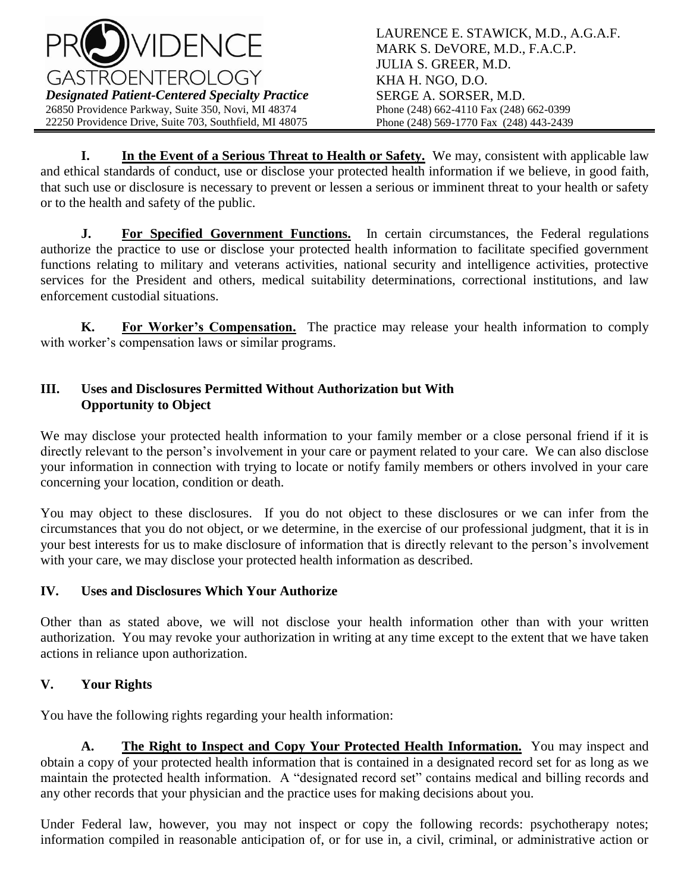

**I. In the Event of a Serious Threat to Health or Safety.** We may, consistent with applicable law and ethical standards of conduct, use or disclose your protected health information if we believe, in good faith, that such use or disclosure is necessary to prevent or lessen a serious or imminent threat to your health or safety or to the health and safety of the public.

**J.** For Specified Government Functions. In certain circumstances, the Federal regulations authorize the practice to use or disclose your protected health information to facilitate specified government functions relating to military and veterans activities, national security and intelligence activities, protective services for the President and others, medical suitability determinations, correctional institutions, and law enforcement custodial situations.

**K. For Worker's Compensation.** The practice may release your health information to comply with worker's compensation laws or similar programs.

## **III. Uses and Disclosures Permitted Without Authorization but With Opportunity to Object**

We may disclose your protected health information to your family member or a close personal friend if it is directly relevant to the person's involvement in your care or payment related to your care. We can also disclose your information in connection with trying to locate or notify family members or others involved in your care concerning your location, condition or death.

You may object to these disclosures. If you do not object to these disclosures or we can infer from the circumstances that you do not object, or we determine, in the exercise of our professional judgment, that it is in your best interests for us to make disclosure of information that is directly relevant to the person's involvement with your care, we may disclose your protected health information as described.

### **IV. Uses and Disclosures Which Your Authorize**

Other than as stated above, we will not disclose your health information other than with your written authorization. You may revoke your authorization in writing at any time except to the extent that we have taken actions in reliance upon authorization.

### **V. Your Rights**

You have the following rights regarding your health information:

**A. The Right to Inspect and Copy Your Protected Health Information.** You may inspect and obtain a copy of your protected health information that is contained in a designated record set for as long as we maintain the protected health information. A "designated record set" contains medical and billing records and any other records that your physician and the practice uses for making decisions about you.

Under Federal law, however, you may not inspect or copy the following records: psychotherapy notes; information compiled in reasonable anticipation of, or for use in, a civil, criminal, or administrative action or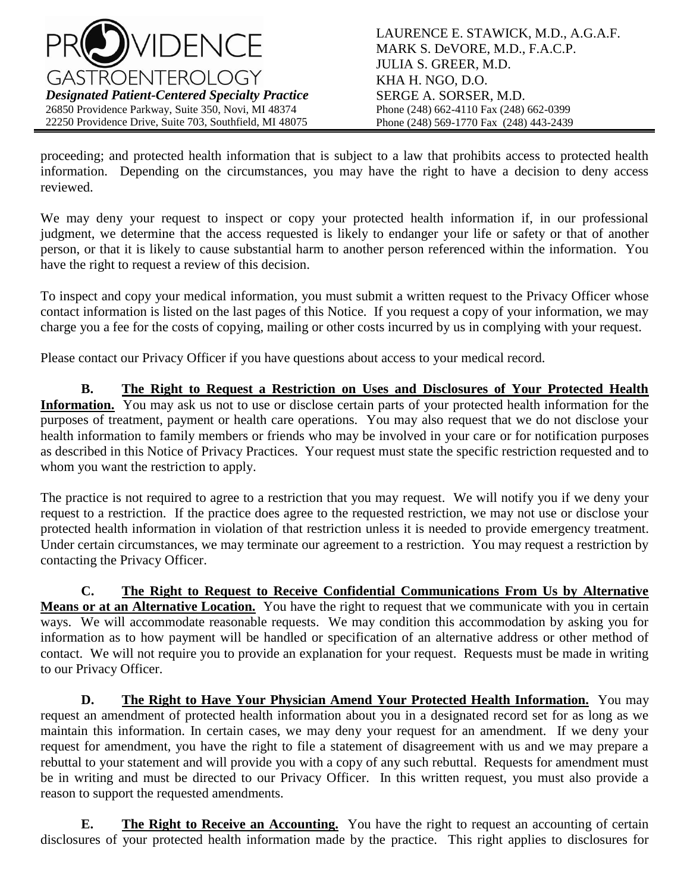

proceeding; and protected health information that is subject to a law that prohibits access to protected health information. Depending on the circumstances, you may have the right to have a decision to deny access reviewed.

We may deny your request to inspect or copy your protected health information if, in our professional judgment, we determine that the access requested is likely to endanger your life or safety or that of another person, or that it is likely to cause substantial harm to another person referenced within the information. You have the right to request a review of this decision.

To inspect and copy your medical information, you must submit a written request to the Privacy Officer whose contact information is listed on the last pages of this Notice. If you request a copy of your information, we may charge you a fee for the costs of copying, mailing or other costs incurred by us in complying with your request.

Please contact our Privacy Officer if you have questions about access to your medical record.

**B. The Right to Request a Restriction on Uses and Disclosures of Your Protected Health**  Information. You may ask us not to use or disclose certain parts of your protected health information for the purposes of treatment, payment or health care operations. You may also request that we do not disclose your health information to family members or friends who may be involved in your care or for notification purposes as described in this Notice of Privacy Practices. Your request must state the specific restriction requested and to whom you want the restriction to apply.

The practice is not required to agree to a restriction that you may request. We will notify you if we deny your request to a restriction. If the practice does agree to the requested restriction, we may not use or disclose your protected health information in violation of that restriction unless it is needed to provide emergency treatment. Under certain circumstances, we may terminate our agreement to a restriction. You may request a restriction by contacting the Privacy Officer.

**C. The Right to Request to Receive Confidential Communications From Us by Alternative Means or at an Alternative Location.** You have the right to request that we communicate with you in certain ways. We will accommodate reasonable requests. We may condition this accommodation by asking you for information as to how payment will be handled or specification of an alternative address or other method of contact. We will not require you to provide an explanation for your request. Requests must be made in writing to our Privacy Officer.

**D. The Right to Have Your Physician Amend Your Protected Health Information.** You may request an amendment of protected health information about you in a designated record set for as long as we maintain this information. In certain cases, we may deny your request for an amendment. If we deny your request for amendment, you have the right to file a statement of disagreement with us and we may prepare a rebuttal to your statement and will provide you with a copy of any such rebuttal. Requests for amendment must be in writing and must be directed to our Privacy Officer. In this written request, you must also provide a reason to support the requested amendments.

**E.** The Right to Receive an Accounting. You have the right to request an accounting of certain disclosures of your protected health information made by the practice. This right applies to disclosures for